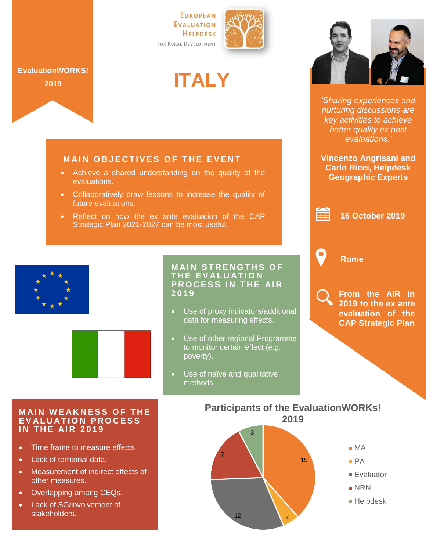

## **ITALY**



*'Sharing experiences and nurturing discussions are key activities to achieve better quality ex post evaluations.'*

**Vincenzo Angrisani and Carlo Ricci, Helpdesk Geographic Experts**

亩 **16 October 2019**

**Rome**

**From the AIR in 2019 to the ex ante evaluation of the CAP Strategic Plan**

**MAIN OBJECTIVES OF THE EVENT** 

- Achieve a shared understanding on the quality of the evaluations.
- Collaboratively draw lessons to increase the quality of future evaluations.
- Reflect on how the ex ante evaluation of the CAP Strategic Plan 2021-2027 can be most useful.



**EvaluationWORKS! 2019**



## **MAIN STRENGTHS OF** THE EVALUATION **PROCESS IN THE AIR 2 0 1 9**

- Use of proxy indicators/additional data for measuring effects.
- Use of other regional Programme to monitor certain effect (e.g. poverty).
- Use of naïve and qualitative methods.

## **MAIN WEAKNESS OF THE E V AL U A T I O N P R O C E S S IN THE AIR 2019**

- Time frame to measure effects
- Lack of territorial data.
- Measurement of indirect effects of other measures.
- Overlapping among CEQs.
- Lack of SG/involvement of stakeholders.

**Participants of the EvaluationWORKs! 2019**